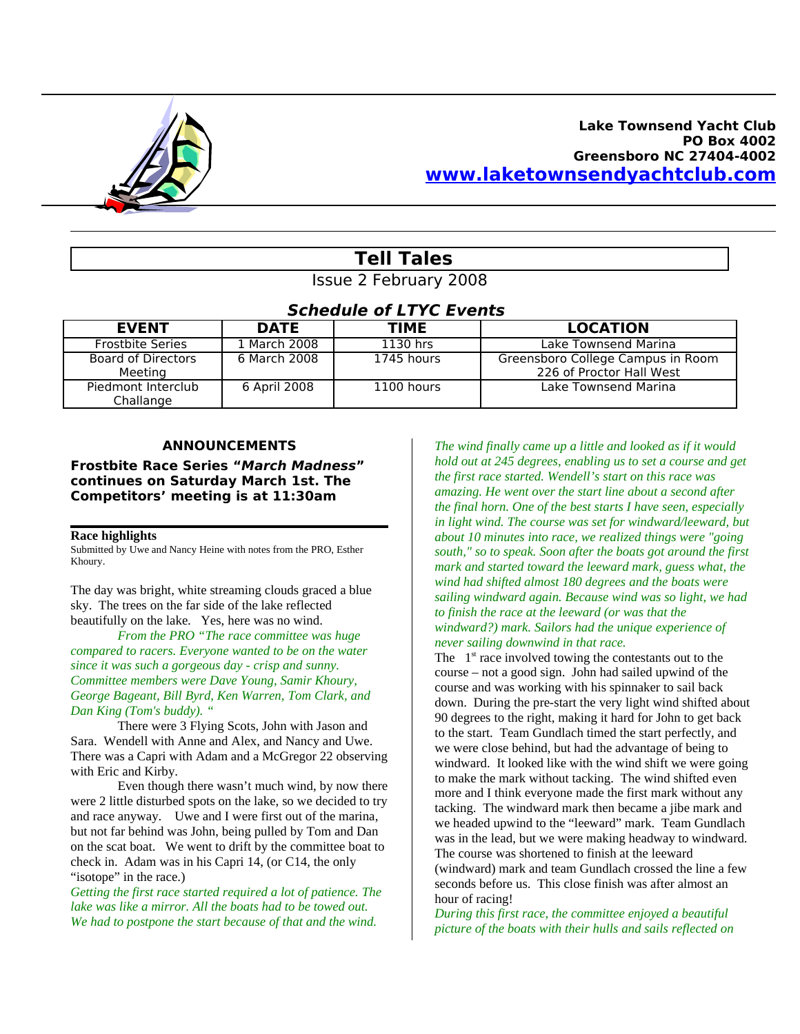

## **Lake Townsend Yacht Club PO Box 4002 Greensboro NC 27404-4002 [www.laketownsendyachtclub.com](http://www.laketownsendyachtclub.com/)**

# **Tell Tales**

Issue 2 February 2008

# **Schedule of LTYC Events**

| <b>EVENT</b>                         | <b>DATE</b>  | TIME       | <b>LOCATION</b>                                               |
|--------------------------------------|--------------|------------|---------------------------------------------------------------|
| <b>Frostbite Series</b>              | 1 March 2008 | 1130 hrs   | Lake Townsend Marina                                          |
| <b>Board of Directors</b><br>Meeting | 6 March 2008 | 1745 hours | Greensboro College Campus in Room<br>226 of Proctor Hall West |
| Piedmont Interclub<br>Challange      | 6 April 2008 | 1100 hours | Lake Townsend Marina                                          |

### **ANNOUNCEMENTS**

**Frostbite Race Series "March Madness" continues on Saturday March 1st. The Competitors' meeting is at 11:30am**

#### **Race highlights**

Submitted by Uwe and Nancy Heine with notes from the PRO, Esther Khoury.

The day was bright, white streaming clouds graced a blue sky. The trees on the far side of the lake reflected beautifully on the lake. Yes, here was no wind.

*From the PRO "The race committee was huge compared to racers. Everyone wanted to be on the water since it was such a gorgeous day - crisp and sunny. Committee members were Dave Young, Samir Khoury, George Bageant, Bill Byrd, Ken Warren, Tom Clark, and Dan King (Tom's buddy). "*

There were 3 Flying Scots, John with Jason and Sara. Wendell with Anne and Alex, and Nancy and Uwe. There was a Capri with Adam and a McGregor 22 observing with Eric and Kirby.

Even though there wasn't much wind, by now there were 2 little disturbed spots on the lake, so we decided to try and race anyway. Uwe and I were first out of the marina, but not far behind was John, being pulled by Tom and Dan on the scat boat. We went to drift by the committee boat to check in. Adam was in his Capri 14, (or C14, the only "isotope" in the race.)

*Getting the first race started required a lot of patience. The lake was like a mirror. All the boats had to be towed out. We had to postpone the start because of that and the wind.*

*The wind finally came up a little and looked as if it would hold out at 245 degrees, enabling us to set a course and get the first race started. Wendell's start on this race was amazing. He went over the start line about a second after the final horn. One of the best starts I have seen, especially in light wind. The course was set for windward/leeward, but about 10 minutes into race, we realized things were "going south," so to speak. Soon after the boats got around the first mark and started toward the leeward mark, guess what, the wind had shifted almost 180 degrees and the boats were sailing windward again. Because wind was so light, we had to finish the race at the leeward (or was that the windward?) mark. Sailors had the unique experience of never sailing downwind in that race.*

The  $1<sup>st</sup>$  race involved towing the contestants out to the course – not a good sign. John had sailed upwind of the course and was working with his spinnaker to sail back down. During the pre-start the very light wind shifted about 90 degrees to the right, making it hard for John to get back to the start. Team Gundlach timed the start perfectly, and we were close behind, but had the advantage of being to windward. It looked like with the wind shift we were going to make the mark without tacking. The wind shifted even more and I think everyone made the first mark without any tacking. The windward mark then became a jibe mark and we headed upwind to the "leeward" mark. Team Gundlach was in the lead, but we were making headway to windward. The course was shortened to finish at the leeward (windward) mark and team Gundlach crossed the line a few seconds before us. This close finish was after almost an hour of racing!

*During this first race, the committee enjoyed a beautiful picture of the boats with their hulls and sails reflected on*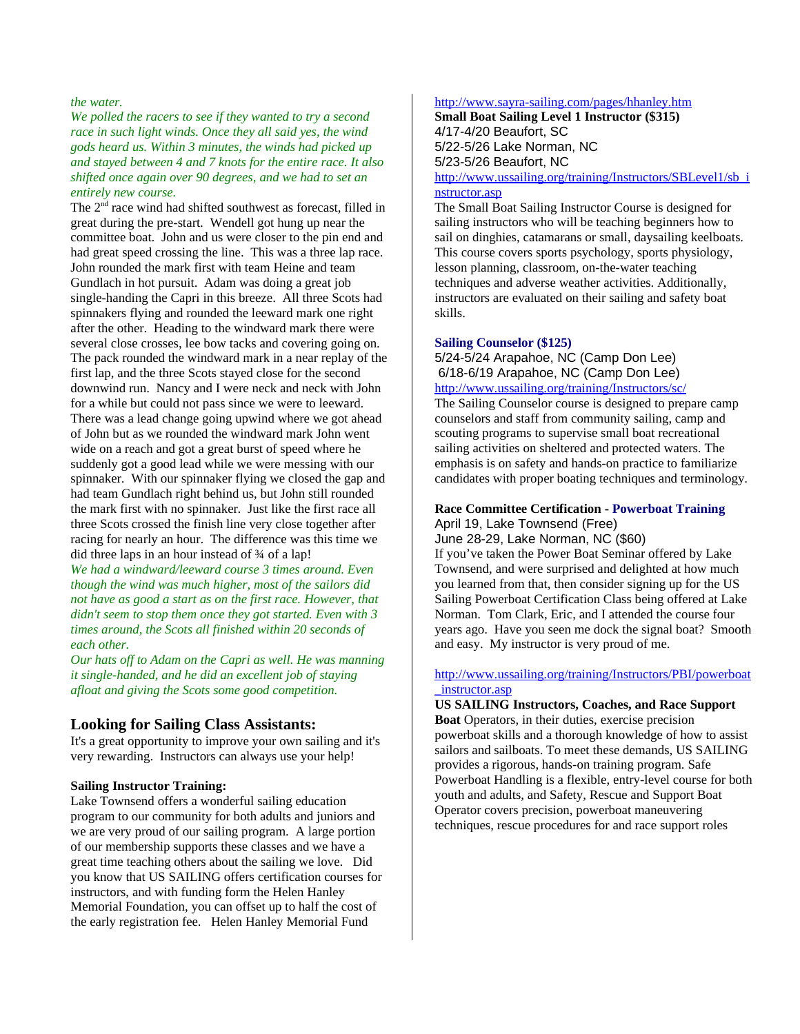*the water.*

*We polled the racers to see if they wanted to try a second race in such light winds. Once they all said yes, the wind gods heard us. Within 3 minutes, the winds had picked up and stayed between 4 and 7 knots for the entire race. It also shifted once again over 90 degrees, and we had to set an entirely new course.*

The 2<sup>nd</sup> race wind had shifted southwest as forecast, filled in great during the pre-start. Wendell got hung up near the committee boat. John and us were closer to the pin end and had great speed crossing the line. This was a three lap race. John rounded the mark first with team Heine and team Gundlach in hot pursuit. Adam was doing a great job single-handing the Capri in this breeze. All three Scots had spinnakers flying and rounded the leeward mark one right after the other. Heading to the windward mark there were several close crosses, lee bow tacks and covering going on. The pack rounded the windward mark in a near replay of the first lap, and the three Scots stayed close for the second downwind run. Nancy and I were neck and neck with John for a while but could not pass since we were to leeward. There was a lead change going upwind where we got ahead of John but as we rounded the windward mark John went wide on a reach and got a great burst of speed where he suddenly got a good lead while we were messing with our spinnaker. With our spinnaker flying we closed the gap and had team Gundlach right behind us, but John still rounded the mark first with no spinnaker. Just like the first race all three Scots crossed the finish line very close together after racing for nearly an hour. The difference was this time we did three laps in an hour instead of ¾ of a lap!

*We had a windward/leeward course 3 times around. Even though the wind was much higher, most of the sailors did not have as good a start as on the first race. However, that didn't seem to stop them once they got started. Even with 3 times around, the Scots all finished within 20 seconds of each other.* 

*Our hats off to Adam on the Capri as well. He was manning it single-handed, and he did an excellent job of staying afloat and giving the Scots some good competition.*

#### **Looking for Sailing Class Assistants:**

It's a great opportunity to improve your own sailing and it's very rewarding. Instructors can always use your help!

#### **Sailing Instructor Training:**

Lake Townsend offers a wonderful sailing education program to our community for both adults and juniors and we are very proud of our sailing program. A large portion of our membership supports these classes and we have a great time teaching others about the sailing we love. Did you know that US SAILING offers certification courses for instructors, and with funding form the Helen Hanley Memorial Foundation, you can offset up to half the cost of the early registration fee. Helen Hanley Memorial Fund

#### <http://www.sayra-sailing.com/pages/hhanley.htm>

**Small Boat Sailing Level 1 Instructor (\$315)** 4/17-4/20 Beaufort, SC 5/22-5/26 Lake Norman, NC 5/23-5/26 Beaufort, NC [http://www.ussailing.org/training/Instructors/SBLevel1/sb\\_i](http://www.ussailing.org/training/Instructors/SBLevel1/sb_instructor.asp) [nstructor.asp](http://www.ussailing.org/training/Instructors/SBLevel1/sb_instructor.asp)

The Small Boat Sailing Instructor Course is designed for sailing instructors who will be teaching beginners how to sail on dinghies, catamarans or small, daysailing keelboats. This course covers sports psychology, sports physiology, lesson planning, classroom, on-the-water teaching techniques and adverse weather activities. Additionally, instructors are evaluated on their sailing and safety boat skills.

#### **Sailing Counselor (\$125)**

5/24-5/24 Arapahoe, NC (Camp Don Lee) 6/18-6/19 Arapahoe, NC (Camp Don Lee) <http://www.ussailing.org/training/Instructors/sc/>

The Sailing Counselor course is designed to prepare camp counselors and staff from community sailing, camp and scouting programs to supervise small boat recreational sailing activities on sheltered and protected waters. The emphasis is on safety and hands-on practice to familiarize candidates with proper boating techniques and terminology.

### **Race Committee Certification - Powerboat Training** April 19, Lake Townsend (Free)

June 28-29, Lake Norman, NC (\$60)

If you've taken the Power Boat Seminar offered by Lake Townsend, and were surprised and delighted at how much you learned from that, then consider signing up for the US Sailing Powerboat Certification Class being offered at Lake Norman. Tom Clark, Eric, and I attended the course four years ago. Have you seen me dock the signal boat? Smooth and easy. My instructor is very proud of me.

#### [http://www.ussailing.org/training/Instructors/PBI/powerboat](http://www.ussailing.org/training/Instructors/PBI/powerboat_instructor.asp) [\\_instructor.asp](http://www.ussailing.org/training/Instructors/PBI/powerboat_instructor.asp)

**US SAILING Instructors, Coaches, and Race Support Boat** Operators, in their duties, exercise precision powerboat skills and a thorough knowledge of how to assist sailors and sailboats. To meet these demands, US SAILING provides a rigorous, hands-on training program. Safe Powerboat Handling is a flexible, entry-level course for both youth and adults, and Safety, Rescue and Support Boat Operator covers precision, powerboat maneuvering techniques, rescue procedures for and race support roles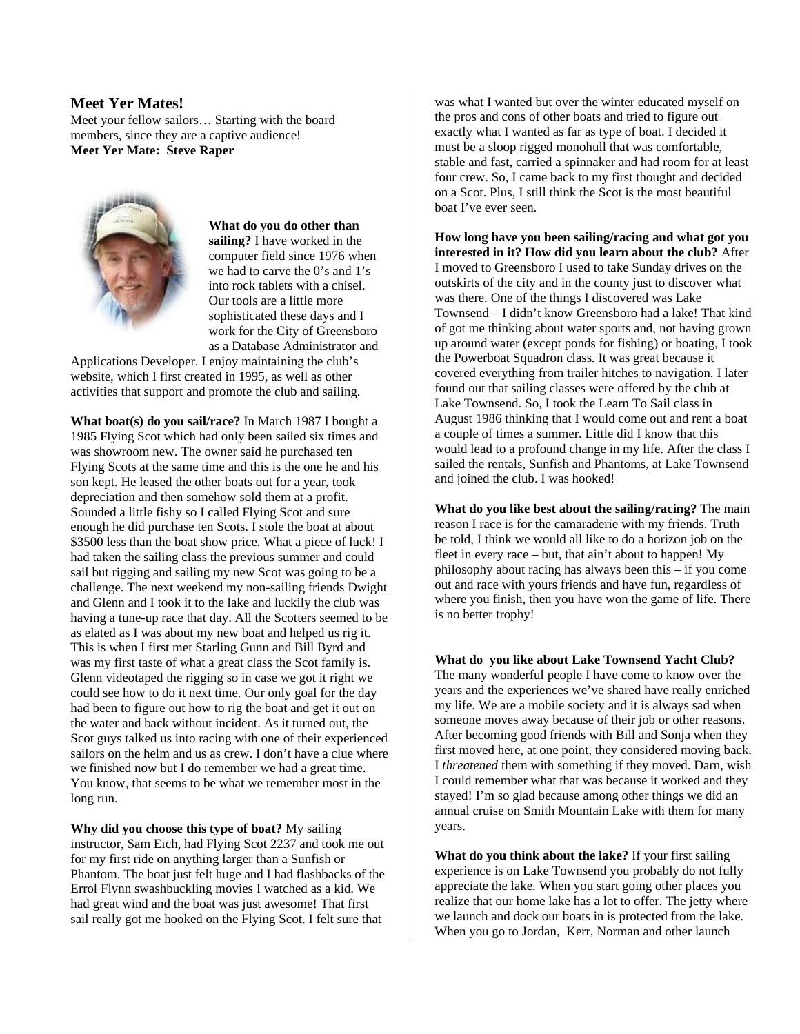#### **Meet Yer Mates!**

Meet your fellow sailors… Starting with the board members, since they are a captive audience! **Meet Yer Mate: Steve Raper**



**What do you do other than sailing?** I have worked in the computer field since 1976 when we had to carve the 0's and 1's into rock tablets with a chisel. Our tools are a little more sophisticated these days and I work for the City of Greensboro as a Database Administrator and

Applications Developer. I enjoy maintaining the club's website, which I first created in 1995, as well as other activities that support and promote the club and sailing.

**What boat(s) do you sail/race?** In March 1987 I bought a 1985 Flying Scot which had only been sailed six times and was showroom new. The owner said he purchased ten Flying Scots at the same time and this is the one he and his son kept. He leased the other boats out for a year, took depreciation and then somehow sold them at a profit. Sounded a little fishy so I called Flying Scot and sure enough he did purchase ten Scots. I stole the boat at about \$3500 less than the boat show price. What a piece of luck! I had taken the sailing class the previous summer and could sail but rigging and sailing my new Scot was going to be a challenge. The next weekend my non-sailing friends Dwight and Glenn and I took it to the lake and luckily the club was having a tune-up race that day. All the Scotters seemed to be as elated as I was about my new boat and helped us rig it. This is when I first met Starling Gunn and Bill Byrd and was my first taste of what a great class the Scot family is. Glenn videotaped the rigging so in case we got it right we could see how to do it next time. Our only goal for the day had been to figure out how to rig the boat and get it out on the water and back without incident. As it turned out, the Scot guys talked us into racing with one of their experienced sailors on the helm and us as crew. I don't have a clue where we finished now but I do remember we had a great time. You know, that seems to be what we remember most in the long run.

**Why did you choose this type of boat?** My sailing instructor, Sam Eich, had Flying Scot 2237 and took me out for my first ride on anything larger than a Sunfish or Phantom. The boat just felt huge and I had flashbacks of the Errol Flynn swashbuckling movies I watched as a kid. We had great wind and the boat was just awesome! That first sail really got me hooked on the Flying Scot. I felt sure that

was what I wanted but over the winter educated myself on the pros and cons of other boats and tried to figure out exactly what I wanted as far as type of boat. I decided it must be a sloop rigged monohull that was comfortable, stable and fast, carried a spinnaker and had room for at least four crew. So, I came back to my first thought and decided on a Scot. Plus, I still think the Scot is the most beautiful boat I've ever seen.

**How long have you been sailing/racing and what got you interested in it? How did you learn about the club?** After I moved to Greensboro I used to take Sunday drives on the outskirts of the city and in the county just to discover what was there. One of the things I discovered was Lake Townsend – I didn't know Greensboro had a lake! That kind of got me thinking about water sports and, not having grown up around water (except ponds for fishing) or boating, I took the Powerboat Squadron class. It was great because it covered everything from trailer hitches to navigation. I later found out that sailing classes were offered by the club at Lake Townsend. So, I took the Learn To Sail class in August 1986 thinking that I would come out and rent a boat a couple of times a summer. Little did I know that this would lead to a profound change in my life. After the class I sailed the rentals, Sunfish and Phantoms, at Lake Townsend and joined the club. I was hooked!

**What do you like best about the sailing/racing?** The main reason I race is for the camaraderie with my friends. Truth be told, I think we would all like to do a horizon job on the fleet in every race  $-$  but, that ain't about to happen! My philosophy about racing has always been this – if you come out and race with yours friends and have fun, regardless of where you finish, then you have won the game of life. There is no better trophy!

**What do you like about Lake Townsend Yacht Club?** The many wonderful people I have come to know over the years and the experiences we've shared have really enriched my life. We are a mobile society and it is always sad when someone moves away because of their job or other reasons. After becoming good friends with Bill and Sonja when they first moved here, at one point, they considered moving back. I *threatened* them with something if they moved. Darn, wish I could remember what that was because it worked and they stayed! I'm so glad because among other things we did an annual cruise on Smith Mountain Lake with them for many years.

**What do you think about the lake?** If your first sailing experience is on Lake Townsend you probably do not fully appreciate the lake. When you start going other places you realize that our home lake has a lot to offer. The jetty where we launch and dock our boats in is protected from the lake. When you go to Jordan, Kerr, Norman and other launch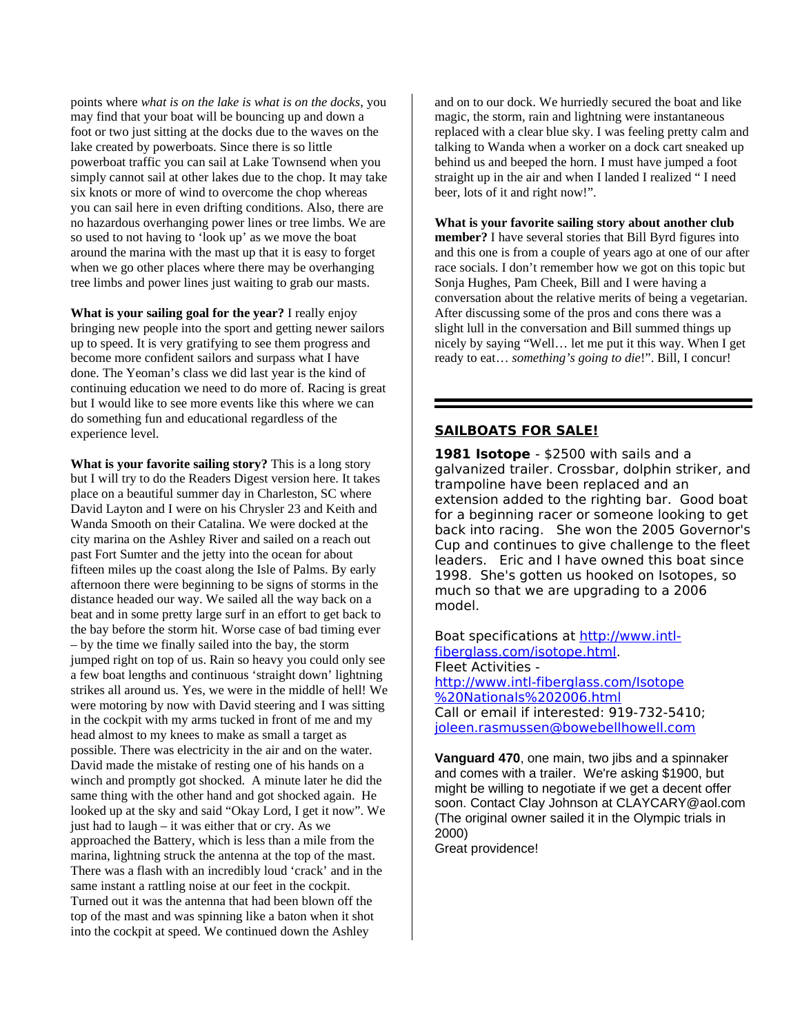points where *what is on the lake is what is on the docks*, you may find that your boat will be bouncing up and down a foot or two just sitting at the docks due to the waves on the lake created by powerboats. Since there is so little powerboat traffic you can sail at Lake Townsend when you simply cannot sail at other lakes due to the chop. It may take six knots or more of wind to overcome the chop whereas you can sail here in even drifting conditions. Also, there are no hazardous overhanging power lines or tree limbs. We are so used to not having to 'look up' as we move the boat around the marina with the mast up that it is easy to forget when we go other places where there may be overhanging tree limbs and power lines just waiting to grab our masts.

**What is your sailing goal for the year?** I really enjoy bringing new people into the sport and getting newer sailors up to speed. It is very gratifying to see them progress and become more confident sailors and surpass what I have done. The Yeoman's class we did last year is the kind of continuing education we need to do more of. Racing is great but I would like to see more events like this where we can do something fun and educational regardless of the experience level.

**What is your favorite sailing story?** This is a long story but I will try to do the Readers Digest version here. It takes place on a beautiful summer day in Charleston, SC where David Layton and I were on his Chrysler 23 and Keith and Wanda Smooth on their Catalina. We were docked at the city marina on the Ashley River and sailed on a reach out past Fort Sumter and the jetty into the ocean for about fifteen miles up the coast along the Isle of Palms. By early afternoon there were beginning to be signs of storms in the distance headed our way. We sailed all the way back on a beat and in some pretty large surf in an effort to get back to the bay before the storm hit. Worse case of bad timing ever – by the time we finally sailed into the bay, the storm jumped right on top of us. Rain so heavy you could only see a few boat lengths and continuous 'straight down' lightning strikes all around us. Yes, we were in the middle of hell! We were motoring by now with David steering and I was sitting in the cockpit with my arms tucked in front of me and my head almost to my knees to make as small a target as possible. There was electricity in the air and on the water. David made the mistake of resting one of his hands on a winch and promptly got shocked. A minute later he did the same thing with the other hand and got shocked again. He looked up at the sky and said "Okay Lord, I get it now". We just had to laugh – it was either that or cry. As we approached the Battery, which is less than a mile from the marina, lightning struck the antenna at the top of the mast. There was a flash with an incredibly loud 'crack' and in the same instant a rattling noise at our feet in the cockpit. Turned out it was the antenna that had been blown off the top of the mast and was spinning like a baton when it shot into the cockpit at speed. We continued down the Ashley

and on to our dock. We hurriedly secured the boat and like magic, the storm, rain and lightning were instantaneous replaced with a clear blue sky. I was feeling pretty calm and talking to Wanda when a worker on a dock cart sneaked up behind us and beeped the horn. I must have jumped a foot straight up in the air and when I landed I realized " I need beer, lots of it and right now!".

#### **What is your favorite sailing story about another club**

**member?** I have several stories that Bill Byrd figures into and this one is from a couple of years ago at one of our after race socials. I don't remember how we got on this topic but Sonja Hughes, Pam Cheek, Bill and I were having a conversation about the relative merits of being a vegetarian. After discussing some of the pros and cons there was a slight lull in the conversation and Bill summed things up nicely by saying "Well… let me put it this way. When I get ready to eat… *something's going to die*!". Bill, I concur!

### **SAILBOATS FOR SALE!**

**1981 Isotope** - \$2500 with sails and a galvanized trailer. Crossbar, dolphin striker, and trampoline have been replaced and an extension added to the righting bar. Good boat for a beginning racer or someone looking to get back into racing. She won the 2005 Governor's Cup and continues to give challenge to the fleet leaders. Eric and I have owned this boat since 1998. She's gotten us hooked on Isotopes, so much so that we are upgrading to a 2006 model.

Boat specifications at [http://www.intl](http://www.intl-fiberglass.com/isotope.html)[fiberglass.com/isotope.html.](http://www.intl-fiberglass.com/isotope.html) Fleet Activities [http://www.intl-fiberglass.com/Isotope](http://www.intl-fiberglass.com/Isotope%20Nationals%202006.html) [%20Nationals%202006.html](http://www.intl-fiberglass.com/Isotope%20Nationals%202006.html) Call or email if interested: 919-732-5410; [joleen.rasmussen@bowebellhowell.com](mailto:joleen.rasmussen@bowebellhowell.com)

**Vanguard 470**, one main, two jibs and a spinnaker and comes with a trailer. We're asking \$1900, but might be willing to negotiate if we get a decent offer soon. Contact Clay Johnson at CLAYCARY@aol.com (The original owner sailed it in the Olympic trials in 2000)

Great providence!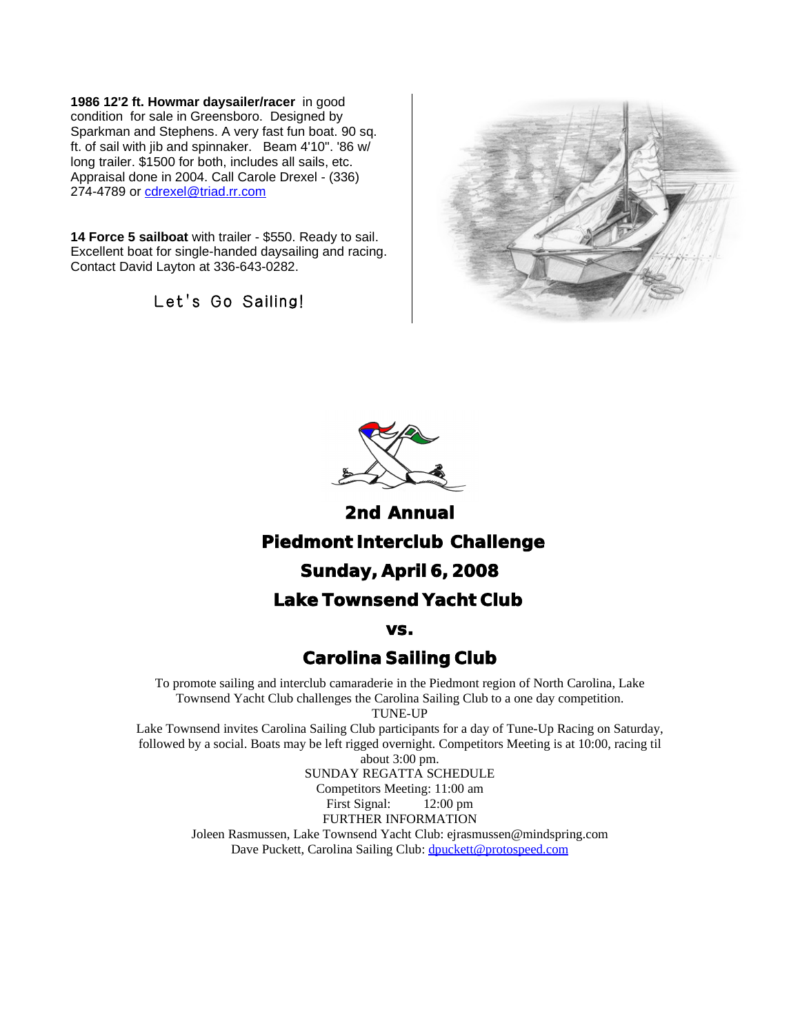**1986 12'2 ft. Howmar daysailer/racer** in good condition for sale in Greensboro. Designed by Sparkman and Stephens. A very fast fun boat. 90 sq. ft. of sail with jib and spinnaker. Beam 4'10". '86 w/ long trailer. \$1500 for both, includes all sails, etc. Appraisal done in 2004. Call Carole Drexel - (336) 274-4789 or [cdrexel@triad.rr.com](mailto:cdrexel@triad.rr.com)

**14 Force 5 sailboat** with trailer - \$550. Ready to sail. Excellent boat for single-handed daysailing and racing. Contact David Layton at 336-643-0282.

Let's Go Sailing!





**2nd Annual Piedmont Interclub Challenge Sunday, April 6, 2008 Lake Townsend Yacht Club**

**vs.**

# **Carolina Sailing Club**

To promote sailing and interclub camaraderie in the Piedmont region of North Carolina, Lake Townsend Yacht Club challenges the Carolina Sailing Club to a one day competition. TUNE-UP

Lake Townsend invites Carolina Sailing Club participants for a day of Tune-Up Racing on Saturday, followed by a social. Boats may be left rigged overnight. Competitors Meeting is at 10:00, racing til about 3:00 pm.

SUNDAY REGATTA SCHEDULE Competitors Meeting: 11:00 am First Signal: 12:00 pm FURTHER INFORMATION Joleen Rasmussen, Lake Townsend Yacht Club: ejrasmussen@mindspring.com Dave Puckett, Carolina Sailing Club: [dpuckett@protospeed.com](mailto:dpuckett@protospeed.com)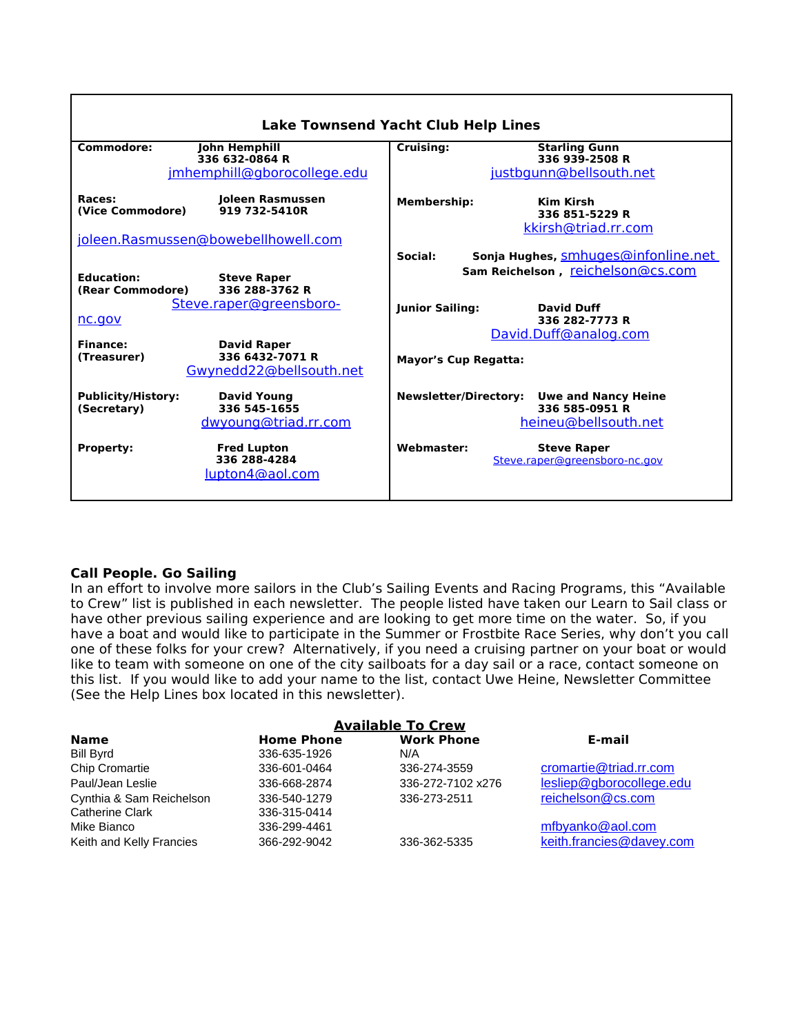| <b>Lake Townsend Yacht Club Help Lines</b>                                                             |                                                                                                      |  |  |  |  |  |  |  |  |  |
|--------------------------------------------------------------------------------------------------------|------------------------------------------------------------------------------------------------------|--|--|--|--|--|--|--|--|--|
| Commodore:<br>John Hemphill<br>336 632-0864 R                                                          | <b>Starling Gunn</b><br>Cruising:<br>336 939-2508 R                                                  |  |  |  |  |  |  |  |  |  |
| jmhemphill@gborocollege.edu                                                                            | justbgunn@bellsouth.net                                                                              |  |  |  |  |  |  |  |  |  |
| Races:<br>Joleen Rasmussen<br>919 732-5410R<br>(Vice Commodore)                                        | <b>Membership:</b><br>Kim Kirsh<br>336 851-5229 R                                                    |  |  |  |  |  |  |  |  |  |
| joleen.Rasmussen@bowebellhowell.com                                                                    | kkirsh@triad.rr.com                                                                                  |  |  |  |  |  |  |  |  |  |
|                                                                                                        | Sonja Hughes, smhuges@infonline.net<br>Social:                                                       |  |  |  |  |  |  |  |  |  |
| <b>Education:</b><br><b>Steve Raper</b><br>(Rear Commodore)<br>336 288-3762 R                          | Sam Reichelson, reichelson@cs.com                                                                    |  |  |  |  |  |  |  |  |  |
| Steve.raper@greensboro-<br>nc.gov                                                                      | <b>Junior Sailing:</b><br>David Duff<br>336 282-7773 R                                               |  |  |  |  |  |  |  |  |  |
| Finance:<br><b>David Raper</b><br>336 6432-7071 R<br>(Treasurer)<br>Gwynedd22@bellsouth.net            | David.Duff@analog.com<br><b>Mayor's Cup Regatta:</b>                                                 |  |  |  |  |  |  |  |  |  |
| <b>Publicity/History:</b><br><b>David Young</b><br>336 545-1655<br>(Secretary)<br>dwyoung@triad.rr.com | <b>Newsletter/Directory:</b><br><b>Uwe and Nancy Heine</b><br>336 585-0951 R<br>heineu@bellsouth.net |  |  |  |  |  |  |  |  |  |
| <b>Fred Lupton</b><br><b>Property:</b><br>336 288-4284<br>lupton4@aol.com                              | Webmaster:<br><b>Steve Raper</b><br>Steve.raper@greensboro-nc.gov                                    |  |  |  |  |  |  |  |  |  |

## **Call People. Go Sailing**

In an effort to involve more sailors in the Club's Sailing Events and Racing Programs, this "Available to Crew" list is published in each newsletter. The people listed have taken our Learn to Sail class or have other previous sailing experience and are looking to get more time on the water. So, if you have a boat and would like to participate in the Summer or Frostbite Race Series, why don't you call one of these folks for your crew? Alternatively, if you need a cruising partner on your boat or would like to team with someone on one of the city sailboats for a day sail or a race, contact someone on this list. If you would like to add your name to the list, contact Uwe Heine, Newsletter Committee (See the Help Lines box located in this newsletter).

| <b>Available To Crew</b> |                   |                   |                          |  |  |  |  |  |  |
|--------------------------|-------------------|-------------------|--------------------------|--|--|--|--|--|--|
| <b>Name</b>              | <b>Home Phone</b> | <b>Work Phone</b> | E-mail                   |  |  |  |  |  |  |
| Bill Byrd                | 336-635-1926      | N/A               |                          |  |  |  |  |  |  |
| <b>Chip Cromartie</b>    | 336-601-0464      | 336-274-3559      | cromartie@triad.rr.com   |  |  |  |  |  |  |
| Paul/Jean Leslie         | 336-668-2874      | 336-272-7102 x276 | lesliep@gborocollege.edu |  |  |  |  |  |  |
| Cynthia & Sam Reichelson | 336-540-1279      | 336-273-2511      | reichelson@cs.com        |  |  |  |  |  |  |
| <b>Catherine Clark</b>   | 336-315-0414      |                   |                          |  |  |  |  |  |  |
| Mike Bianco              | 336-299-4461      |                   | mfbyanko@aol.com         |  |  |  |  |  |  |
| Keith and Kelly Francies | 366-292-9042      | 336-362-5335      | keith.francies@davey.com |  |  |  |  |  |  |